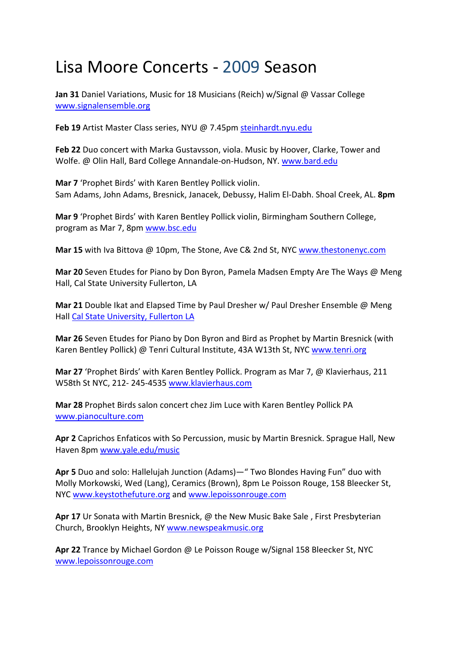## Lisa Moore Concerts ‐ 2009 Season

**Jan 31** Daniel Variations, Music for 18 Musicians (Reich) w/Signal @ Vassar College www.signalensemble.org

**Feb 19** Artist Master Class series, NYU @ 7.45pm steinhardt.nyu.edu

**Feb 22** Duo concert with Marka Gustavsson, viola. Music by Hoover, Clarke, Tower and Wolfe. @ Olin Hall, Bard College Annandale‐on‐Hudson, NY. www.bard.edu

**Mar 7** 'Prophet Birds' with Karen Bentley Pollick violin. Sam Adams, John Adams, Bresnick, Janacek, Debussy, Halim El‐Dabh. Shoal Creek, AL. **8pm**

**Mar 9** 'Prophet Birds' with Karen Bentley Pollick violin, Birmingham Southern College, program as Mar 7, 8pm www.bsc.edu

**Mar 15** with Iva Bittova @ 10pm, The Stone, Ave C& 2nd St, NYC www.thestonenyc.com

**Mar 20** Seven Etudes for Piano by Don Byron, Pamela Madsen Empty Are The Ways @ Meng Hall, Cal State University Fullerton, LA

**Mar 21** Double Ikat and Elapsed Time by Paul Dresher w/ Paul Dresher Ensemble @ Meng Hall Cal State University, Fullerton LA

**Mar 26** Seven Etudes for Piano by Don Byron and Bird as Prophet by Martin Bresnick (with Karen Bentley Pollick) @ Tenri Cultural Institute, 43A W13th St, NYC www.tenri.org

**Mar 27** 'Prophet Birds' with Karen Bentley Pollick. Program as Mar 7, @ Klavierhaus, 211 W58th St NYC, 212‐ 245‐4535 www.klavierhaus.com

**Mar 28** Prophet Birds salon concert chez Jim Luce with Karen Bentley Pollick PA www.pianoculture.com

**Apr 2** Caprichos Enfaticos with So Percussion, music by Martin Bresnick. Sprague Hall, New Haven 8pm www.yale.edu/music

**Apr 5** Duo and solo: Hallelujah Junction (Adams)—" Two Blondes Having Fun" duo with Molly Morkowski, Wed (Lang), Ceramics (Brown), 8pm Le Poisson Rouge, 158 Bleecker St, NYC www.keystothefuture.org and www.lepoissonrouge.com

**Apr 17** Ur Sonata with Martin Bresnick, @ the New Music Bake Sale , First Presbyterian Church, Brooklyn Heights, NY www.newspeakmusic.org

**Apr 22** Trance by Michael Gordon @ Le Poisson Rouge w/Signal 158 Bleecker St, NYC www.lepoissonrouge.com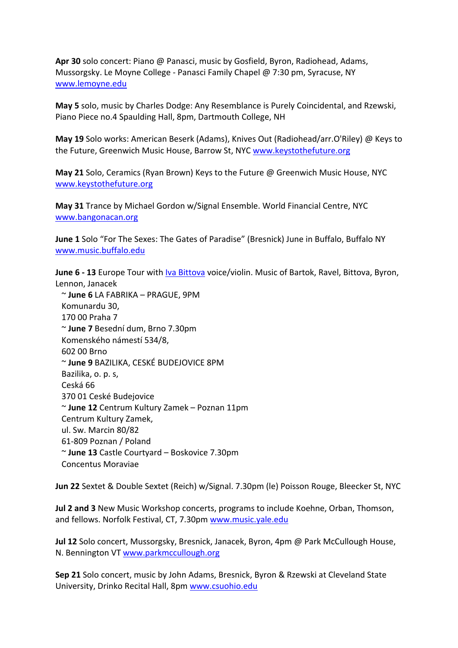**Apr 30** solo concert: Piano @ Panasci, music by Gosfield, Byron, Radiohead, Adams, Mussorgsky. Le Moyne College ‐ Panasci Family Chapel @ 7:30 pm, Syracuse, NY www.lemoyne.edu

**May 5** solo, music by Charles Dodge: Any Resemblance is Purely Coincidental, and Rzewski, Piano Piece no.4 Spaulding Hall, 8pm, Dartmouth College, NH

**May 19** Solo works: American Beserk (Adams), Knives Out (Radiohead/arr.O'Riley) @ Keys to the Future, Greenwich Music House, Barrow St, NYC www.keystothefuture.org

**May 21** Solo, Ceramics (Ryan Brown) Keys to the Future @ Greenwich Music House, NYC www.keystothefuture.org

**May 31** Trance by Michael Gordon w/Signal Ensemble. World Financial Centre, NYC www.bangonacan.org

**June 1** Solo "For The Sexes: The Gates of Paradise" (Bresnick) June in Buffalo, Buffalo NY www.music.buffalo.edu

**June 6 ‐ 13** Europe Tour with Iva Bittova voice/violin. Music of Bartok, Ravel, Bittova, Byron, Lennon, Janacek

 ~ **June 6** LA FABRIKA – PRAGUE, 9PM Komunardu 30, 170 00 Praha 7 ~ **June 7** Besední dum, Brno 7.30pm Komenského námestí 534/8, 602 00 Brno ~ **June 9** BAZILIKA, CESKÉ BUDEJOVICE 8PM Bazilika, o. p. s, Ceská 66 370 01 Ceské Budejovice ~ **June 12** Centrum Kultury Zamek – Poznan 11pm Centrum Kultury Zamek, ul. Sw. Marcin 80/82 61‐809 Poznan / Poland ~ **June 13** Castle Courtyard – Boskovice 7.30pm Concentus Moraviae

**Jun 22** Sextet & Double Sextet (Reich) w/Signal. 7.30pm (le) Poisson Rouge, Bleecker St, NYC

**Jul 2 and 3** New Music Workshop concerts, programs to include Koehne, Orban, Thomson, and fellows. Norfolk Festival, CT, 7.30pm www.music.yale.edu

**Jul 12** Solo concert, Mussorgsky, Bresnick, Janacek, Byron, 4pm @ Park McCullough House, N. Bennington VT www.parkmccullough.org

**Sep 21** Solo concert, music by John Adams, Bresnick, Byron & Rzewski at Cleveland State University, Drinko Recital Hall, 8pm www.csuohio.edu